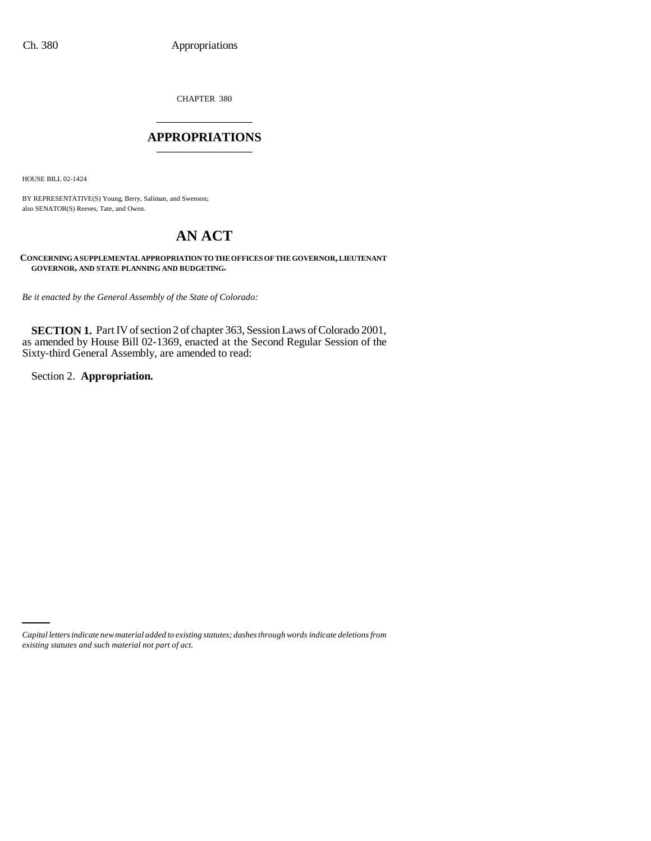CHAPTER 380 \_\_\_\_\_\_\_\_\_\_\_\_\_\_\_

### **APPROPRIATIONS** \_\_\_\_\_\_\_\_\_\_\_\_\_\_\_

HOUSE BILL 02-1424

BY REPRESENTATIVE(S) Young, Berry, Saliman, and Swenson; also SENATOR(S) Reeves, Tate, and Owen.

# **AN ACT**

**CONCERNING A SUPPLEMENTAL APPROPRIATION TO THE OFFICES OF THE GOVERNOR, LIEUTENANT GOVERNOR, AND STATE PLANNING AND BUDGETING.**

*Be it enacted by the General Assembly of the State of Colorado:*

**SECTION 1.** Part IV of section 2 of chapter 363, Session Laws of Colorado 2001, as amended by House Bill 02-1369, enacted at the Second Regular Session of the Sixty-third General Assembly, are amended to read:

Section 2. **Appropriation.**

*Capital letters indicate new material added to existing statutes; dashes through words indicate deletions from existing statutes and such material not part of act.*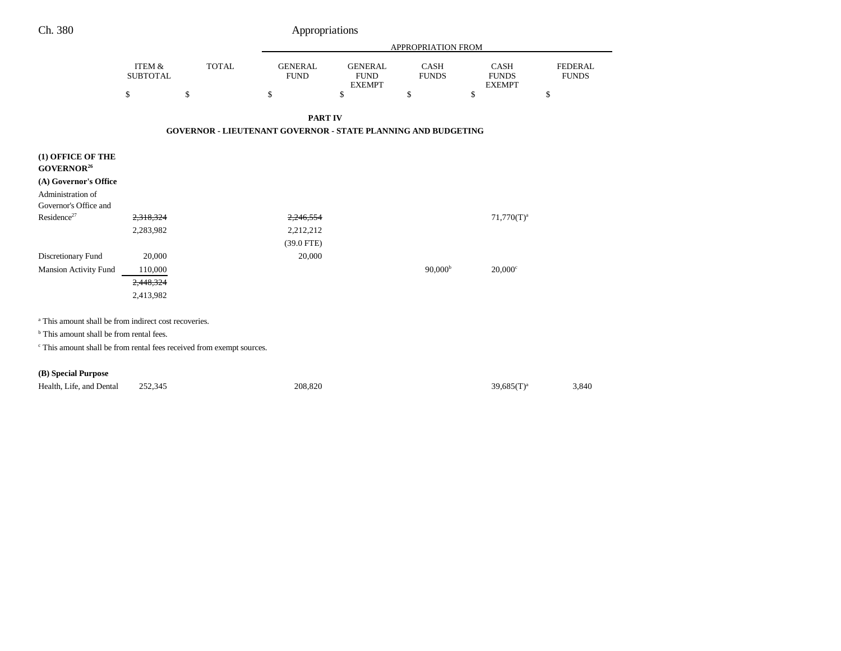| Ch. 380 | Appropriations |
|---------|----------------|
|         |                |

|                                                                                  |                                      |                                                                      | APPROPRIATION FROM            |                                                |                             |                                       |                                |  |
|----------------------------------------------------------------------------------|--------------------------------------|----------------------------------------------------------------------|-------------------------------|------------------------------------------------|-----------------------------|---------------------------------------|--------------------------------|--|
|                                                                                  | <b>ITEM &amp;</b><br><b>SUBTOTAL</b> | <b>TOTAL</b>                                                         | <b>GENERAL</b><br><b>FUND</b> | <b>GENERAL</b><br><b>FUND</b><br><b>EXEMPT</b> | <b>CASH</b><br><b>FUNDS</b> | CASH<br><b>FUNDS</b><br><b>EXEMPT</b> | <b>FEDERAL</b><br><b>FUNDS</b> |  |
|                                                                                  | \$                                   | \$                                                                   | \$                            | \$                                             | \$                          | \$                                    | \$                             |  |
|                                                                                  |                                      |                                                                      | <b>PART IV</b>                |                                                |                             |                                       |                                |  |
|                                                                                  |                                      | <b>GOVERNOR - LIEUTENANT GOVERNOR - STATE PLANNING AND BUDGETING</b> |                               |                                                |                             |                                       |                                |  |
| (1) OFFICE OF THE<br>GOVERNOR <sup>26</sup>                                      |                                      |                                                                      |                               |                                                |                             |                                       |                                |  |
| (A) Governor's Office                                                            |                                      |                                                                      |                               |                                                |                             |                                       |                                |  |
| Administration of                                                                |                                      |                                                                      |                               |                                                |                             |                                       |                                |  |
| Governor's Office and<br>Residence <sup>27</sup>                                 | 2,318,324                            |                                                                      | 2,246,554                     |                                                |                             | $71,770(T)^a$                         |                                |  |
|                                                                                  | 2,283,982                            |                                                                      | 2,212,212                     |                                                |                             |                                       |                                |  |
|                                                                                  |                                      |                                                                      | (39.0 FTE)                    |                                                |                             |                                       |                                |  |
| Discretionary Fund                                                               | 20,000                               |                                                                      | 20,000                        |                                                |                             |                                       |                                |  |
| <b>Mansion Activity Fund</b>                                                     | 110,000                              |                                                                      |                               |                                                | 90,000 <sup>b</sup>         | $20,000$ <sup>c</sup>                 |                                |  |
|                                                                                  | 2,448,324                            |                                                                      |                               |                                                |                             |                                       |                                |  |
|                                                                                  | 2,413,982                            |                                                                      |                               |                                                |                             |                                       |                                |  |
| <sup>a</sup> This amount shall be from indirect cost recoveries.                 |                                      |                                                                      |                               |                                                |                             |                                       |                                |  |
| <sup>b</sup> This amount shall be from rental fees.                              |                                      |                                                                      |                               |                                                |                             |                                       |                                |  |
| <sup>c</sup> This amount shall be from rental fees received from exempt sources. |                                      |                                                                      |                               |                                                |                             |                                       |                                |  |
| (B) Special Purpose                                                              |                                      |                                                                      |                               |                                                |                             |                                       |                                |  |
| Health, Life, and Dental                                                         | 252,345                              |                                                                      | 208,820                       |                                                |                             | $39,685(T)^a$                         | 3,840                          |  |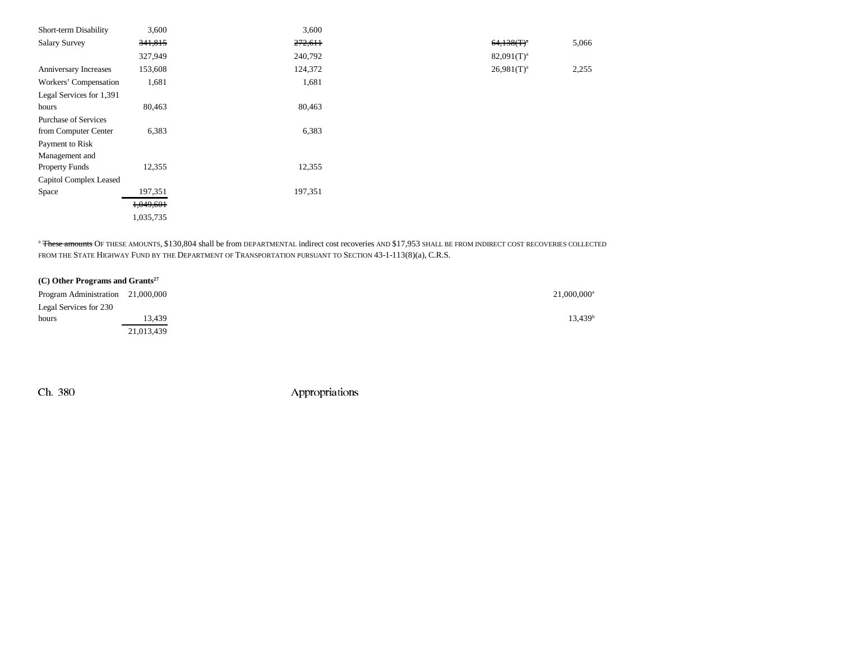| Short-term Disability       | 3,600     | 3,600   |                 |       |
|-----------------------------|-----------|---------|-----------------|-------|
| <b>Salary Survey</b>        | 341,815   | 272,611 | $64,138(T)^{a}$ | 5,066 |
|                             | 327,949   | 240,792 | $82,091(T)^{a}$ |       |
| Anniversary Increases       | 153,608   | 124,372 | $26,981(T)^{a}$ | 2,255 |
| Workers' Compensation       | 1,681     | 1,681   |                 |       |
| Legal Services for 1,391    |           |         |                 |       |
| hours                       | 80,463    | 80,463  |                 |       |
| <b>Purchase of Services</b> |           |         |                 |       |
| from Computer Center        | 6,383     | 6,383   |                 |       |
| Payment to Risk             |           |         |                 |       |
| Management and              |           |         |                 |       |
| <b>Property Funds</b>       | 12,355    | 12,355  |                 |       |
| Capitol Complex Leased      |           |         |                 |       |
| Space                       | 197,351   | 197,351 |                 |       |
|                             | 1,049,601 |         |                 |       |
|                             | 1,035,735 |         |                 |       |
|                             |           |         |                 |       |

<sup>a</sup> These amounts OF THESE AMOUNTS, \$130,804 shall be from DEPARTMENTAL indirect cost recoveries AND \$17,953 SHALL BE FROM INDIRECT COST RECOVERIES COLLECTED FROM THE STATE HIGHWAY FUND BY THE DEPARTMENT OF TRANSPORTATION PURSUANT TO SECTION 43-1-113(8)(a), C.R.S.

| $(C)$ Other Programs and Grants <sup>27</sup> |            |
|-----------------------------------------------|------------|
| Program Administration 21,000,000             |            |
| Legal Services for 230                        |            |
| hours                                         | 13,439     |
|                                               | 21,013,439 |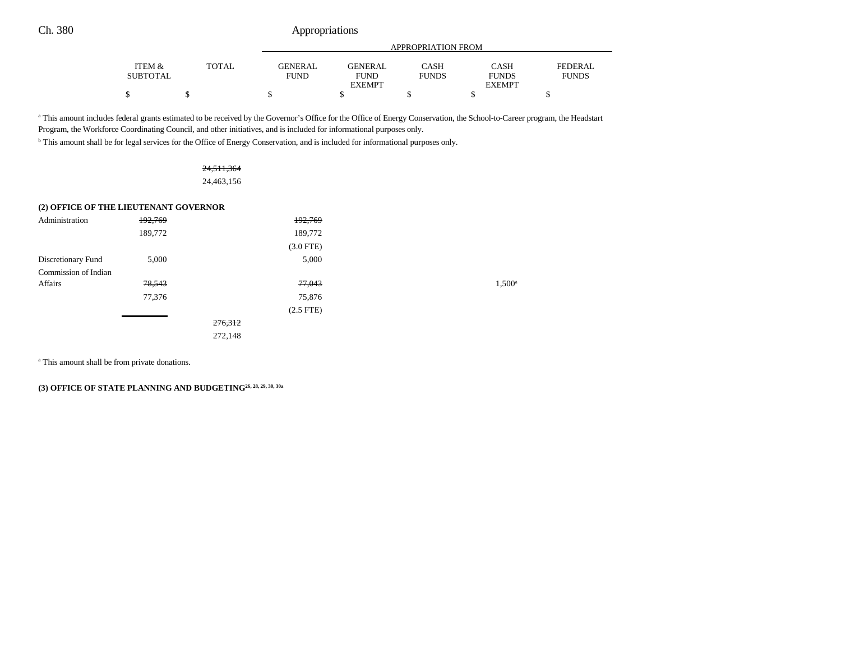## Ch. 380 Appropriations

|                 |       |                | APPROPRIATION FROM |              |               |              |  |  |
|-----------------|-------|----------------|--------------------|--------------|---------------|--------------|--|--|
|                 |       |                |                    |              |               |              |  |  |
| ITEM &          | TOTAL | <b>GENERAL</b> | <b>GENERAL</b>     | CASH         | CASH          | FEDERAL      |  |  |
| <b>SUBTOTAL</b> |       | <b>FUND</b>    | <b>FUND</b>        | <b>FUNDS</b> | <b>FUNDS</b>  | <b>FUNDS</b> |  |  |
|                 |       |                | <b>EXEMPT</b>      |              | <b>EXEMPT</b> |              |  |  |
| S               |       | мD             |                    |              |               |              |  |  |

<sup>a</sup> This amount includes federal grants estimated to be received by the Governor's Office for the Office of Energy Conservation, the School-to-Career program, the Headstart Program, the Workforce Coordinating Council, and other initiatives, and is included for informational purposes only.

b This amount shall be for legal services for the Office of Energy Conservation, and is included for informational purposes only.

| 24,511,364 |
|------------|
| 24,463,156 |

### **(2) OFFICE OF THE LIEUTENANT GOVERNOR**

| Administration       | 192,769 |         | 192,769        |                 |
|----------------------|---------|---------|----------------|-----------------|
|                      | 189,772 |         | 189,772        |                 |
|                      |         |         | $(3.0$ FTE)    |                 |
| Discretionary Fund   | 5,000   |         | 5,000          |                 |
| Commission of Indian |         |         |                |                 |
| Affairs              | 78,543  |         | 77,043         | $1,500^{\circ}$ |
|                      | 77,376  |         | 75,876         |                 |
|                      |         |         | $(2.5$ FTE $)$ |                 |
|                      |         | 276,312 |                |                 |
|                      |         | 272,148 |                |                 |
|                      |         |         |                |                 |

a This amount shall be from private donations.

**(3) OFFICE OF STATE PLANNING AND BUDGETING26, 28, 29, 30, 30a**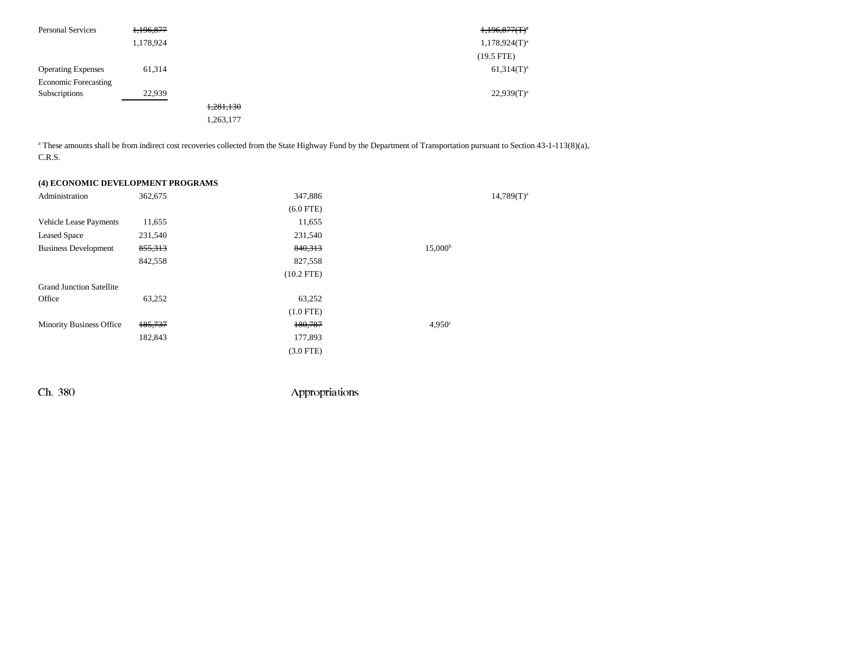| <b>Personal Services</b>    | 1,196,877 |           | $1,196,877(T)^4$   |
|-----------------------------|-----------|-----------|--------------------|
|                             | 1,178,924 |           | $1,178,924(T)^{a}$ |
|                             |           |           | $(19.5$ FTE)       |
| <b>Operating Expenses</b>   | 61,314    |           | $61,314(T)^a$      |
| <b>Economic Forecasting</b> |           |           |                    |
| Subscriptions               | 22,939    |           | $22,939(T)^a$      |
|                             |           | 1,281,130 |                    |
|                             |           | 1,263,177 |                    |

<sup>a</sup> These amounts shall be from indirect cost recoveries collected from the State Highway Fund by the Department of Transportation pursuant to Section 43-1-113(8)(a), C.R.S.

### **(4) ECONOMIC DEVELOPMENT PROGRAMS**

| Administration                  | 362,675 | 347,886      |                    | $14,789(T)^{a}$ |
|---------------------------------|---------|--------------|--------------------|-----------------|
|                                 |         | $(6.0$ FTE)  |                    |                 |
| Vehicle Lease Payments          | 11,655  | 11,655       |                    |                 |
| <b>Leased Space</b>             | 231,540 | 231,540      |                    |                 |
| <b>Business Development</b>     | 855,313 | 840,313      | $15,000^{\rm b}$   |                 |
|                                 | 842,558 | 827,558      |                    |                 |
|                                 |         | $(10.2$ FTE) |                    |                 |
| <b>Grand Junction Satellite</b> |         |              |                    |                 |
| Office                          | 63,252  | 63,252       |                    |                 |
|                                 |         | $(1.0$ FTE)  |                    |                 |
| <b>Minority Business Office</b> | 185,737 | 180,787      | 4.950 <sup>c</sup> |                 |
|                                 | 182,843 | 177,893      |                    |                 |
|                                 |         | $(3.0$ FTE)  |                    |                 |
|                                 |         |              |                    |                 |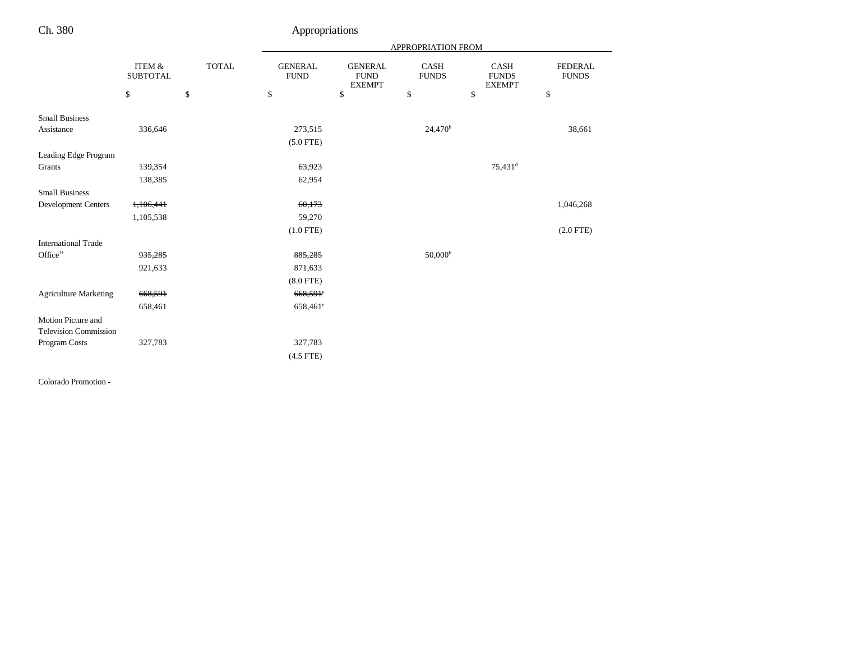## Ch. 380 Appropriations

|                                      |              | APPROPRIATION FROM            |                               |                             |                       |                                |
|--------------------------------------|--------------|-------------------------------|-------------------------------|-----------------------------|-----------------------|--------------------------------|
| <b>ITEM &amp;</b><br><b>SUBTOTAL</b> | <b>TOTAL</b> | <b>GENERAL</b><br><b>FUND</b> | <b>GENERAL</b><br><b>FUND</b> | <b>CASH</b><br><b>FUNDS</b> | CASH<br><b>FUNDS</b>  | <b>FEDERAL</b><br><b>FUNDS</b> |
| \$                                   | $\mathbb{S}$ | \$                            | \$                            | $\mathbb{S}$                | \$                    | \$                             |
|                                      |              |                               |                               |                             |                       |                                |
| 336,646                              |              | 273,515                       |                               | 24,470 <sup>b</sup>         |                       | 38,661                         |
|                                      |              | $(5.0$ FTE)                   |                               |                             |                       |                                |
|                                      |              |                               |                               |                             |                       |                                |
| 139,354                              |              | 63,923                        |                               |                             | $75,431$ <sup>d</sup> |                                |
| 138,385                              |              | 62,954                        |                               |                             |                       |                                |
|                                      |              |                               |                               |                             |                       |                                |
| 1,106,441                            |              | 60,173                        |                               |                             |                       | 1,046,268                      |
| 1,105,538                            |              | 59,270                        |                               |                             |                       |                                |
|                                      |              | $(1.0$ FTE)                   |                               |                             |                       | $(2.0$ FTE)                    |
|                                      |              |                               |                               |                             |                       |                                |
| 935,285                              |              | 885,285                       |                               | $50,000^{\rm b}$            |                       |                                |
| 921,633                              |              | 871,633                       |                               |                             |                       |                                |
|                                      |              | $(8.0$ FTE)                   |                               |                             |                       |                                |
| 668,591                              |              | 668,591°                      |                               |                             |                       |                                |
| 658,461                              |              | $658,461^e$                   |                               |                             |                       |                                |
|                                      |              |                               |                               |                             |                       |                                |
|                                      |              |                               |                               |                             |                       |                                |
| 327,783                              |              | 327,783                       |                               |                             |                       |                                |
|                                      |              | $(4.5$ FTE)                   |                               |                             |                       |                                |
|                                      |              |                               |                               | <b>EXEMPT</b>               |                       | <b>EXEMPT</b>                  |

Colorado Promotion -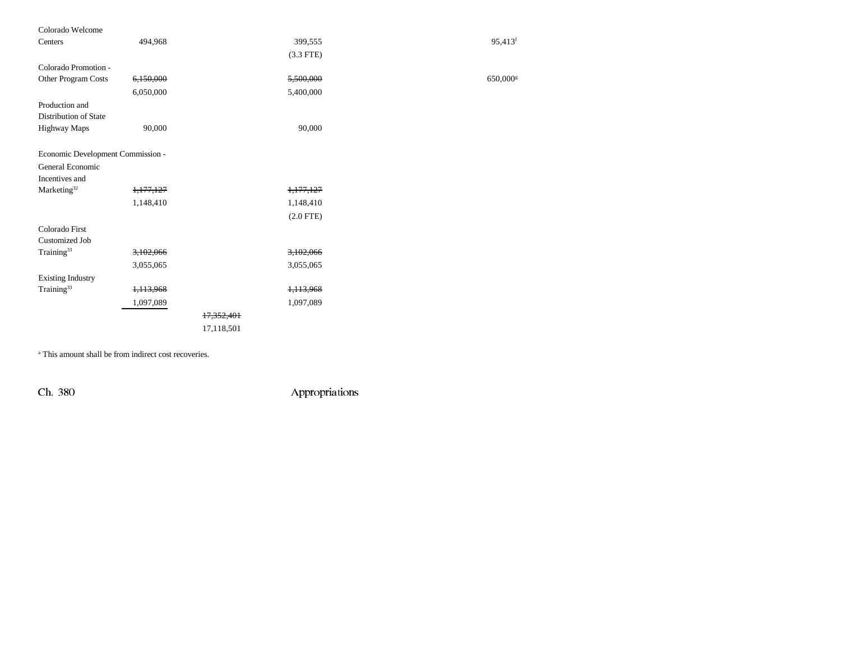| Colorado Welcome                  |           |            |                      |                      |
|-----------------------------------|-----------|------------|----------------------|----------------------|
| Centers                           | 494,968   |            | 399,555              | 95,413f              |
|                                   |           |            | $(3.3$ FTE)          |                      |
| Colorado Promotion -              |           |            |                      |                      |
| Other Program Costs               | 6,150,000 |            | 5,500,000            | 650,000 <sup>s</sup> |
|                                   | 6,050,000 |            | 5,400,000            |                      |
| Production and                    |           |            |                      |                      |
| Distribution of State             |           |            |                      |                      |
| Highway Maps                      | 90,000    |            | 90,000               |                      |
|                                   |           |            |                      |                      |
| Economic Development Commission - |           |            |                      |                      |
| General Economic                  |           |            |                      |                      |
| Incentives and                    |           |            |                      |                      |
| Marketing <sup>32</sup>           | 1,177,127 |            | 1,177,127            |                      |
|                                   | 1,148,410 |            | 1,148,410            |                      |
|                                   |           |            | $(2.0$ FTE)          |                      |
| Colorado First                    |           |            |                      |                      |
| <b>Customized Job</b>             |           |            |                      |                      |
| Training <sup>33</sup>            | 3,102,066 |            | 3,102,066            |                      |
|                                   | 3,055,065 |            | 3,055,065            |                      |
| <b>Existing Industry</b>          |           |            |                      |                      |
| Training <sup>33</sup>            | 1,113,968 |            | <del>1,113,968</del> |                      |
|                                   | 1,097,089 |            | 1,097,089            |                      |
|                                   |           | 17,352,401 |                      |                      |
|                                   |           | 17,118,501 |                      |                      |

<sup>a</sup> This amount shall be from indirect cost recoveries.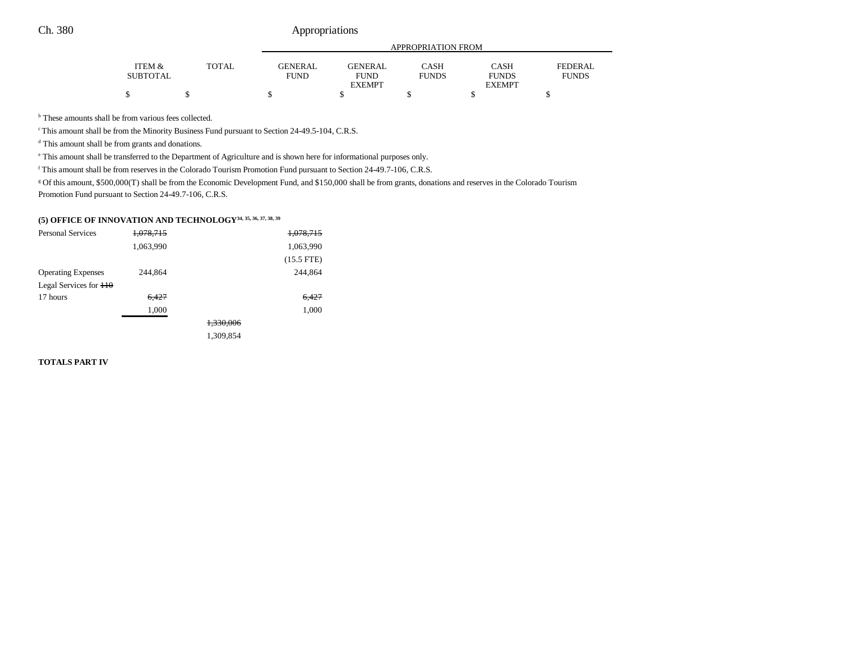## Ch. 380 Appropriations

|                   |       |                | APPROPRIATION FROM |              |               |                |  |  |
|-------------------|-------|----------------|--------------------|--------------|---------------|----------------|--|--|
| <b>ITEM &amp;</b> | TOTAL | <b>GENERAL</b> | <b>GENERAL</b>     | CASH         | CASH          | <b>FEDERAL</b> |  |  |
| <b>SUBTOTAL</b>   |       | <b>FUND</b>    | FUND               | <b>FUNDS</b> | <b>FUNDS</b>  | <b>FUNDS</b>   |  |  |
|                   |       |                | <b>EXEMPT</b>      |              | <b>EXEMPT</b> |                |  |  |
| ¢                 |       |                |                    |              |               |                |  |  |

<sup>b</sup> These amounts shall be from various fees collected.

c This amount shall be from the Minority Business Fund pursuant to Section 24-49.5-104, C.R.S.

<sup>d</sup> This amount shall be from grants and donations.

e This amount shall be transferred to the Department of Agriculture and is shown here for informational purposes only.

f This amount shall be from reserves in the Colorado Tourism Promotion Fund pursuant to Section 24-49.7-106, C.R.S.

g Of this amount, \$500,000(T) shall be from the Economic Development Fund, and \$150,000 shall be from grants, donations and reserves in the Colorado Tourism Promotion Fund pursuant to Section 24-49.7-106, C.R.S.

## **(5) OFFICE OF INNOVATION AND TECHNOLOGY34, 35, 36, 37, 38, 39**

| <b>Personal Services</b>             | 1,078,715 |           | 1,078,715    |
|--------------------------------------|-----------|-----------|--------------|
|                                      | 1,063,990 |           | 1,063,990    |
|                                      |           |           | $(15.5$ FTE) |
| <b>Operating Expenses</b>            | 244,864   |           | 244,864      |
| Legal Services for $\frac{110}{110}$ |           |           |              |
| 17 hours                             | 6,427     |           | 6,427        |
|                                      | 1,000     |           | 1,000        |
|                                      |           | 1,330,006 |              |
|                                      |           | 1,309,854 |              |

### **TOTALS PART IV**